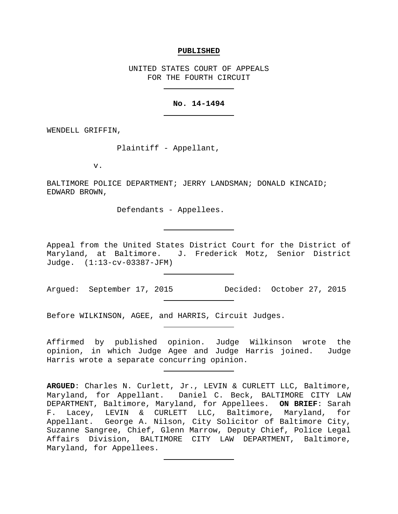#### **PUBLISHED**

UNITED STATES COURT OF APPEALS FOR THE FOURTH CIRCUIT

## **No. 14-1494**

WENDELL GRIFFIN,

Plaintiff - Appellant,

v.

BALTIMORE POLICE DEPARTMENT; JERRY LANDSMAN; DONALD KINCAID; EDWARD BROWN,

Defendants - Appellees.

Appeal from the United States District Court for the District of Maryland, at Baltimore. J. Frederick Motz, Senior District Judge. (1:13-cv-03387-JFM)

Argued: September 17, 2015 Decided: October 27, 2015

Before WILKINSON, AGEE, and HARRIS, Circuit Judges.

Affirmed by published opinion. Judge Wilkinson wrote the opinion, in which Judge Agee and Judge Harris joined. Judge Harris wrote a separate concurring opinion.

**ARGUED**: Charles N. Curlett, Jr., LEVIN & CURLETT LLC, Baltimore, Maryland, for Appellant. Daniel C. Beck, BALTIMORE CITY LAW DEPARTMENT, Baltimore, Maryland, for Appellees. **ON BRIEF**: Sarah F. Lacey, LEVIN & CURLETT LLC, Baltimore, Maryland, for Appellant. George A. Nilson, City Solicitor of Baltimore City, Suzanne Sangree, Chief, Glenn Marrow, Deputy Chief, Police Legal Affairs Division, BALTIMORE CITY LAW DEPARTMENT, Baltimore, Maryland, for Appellees.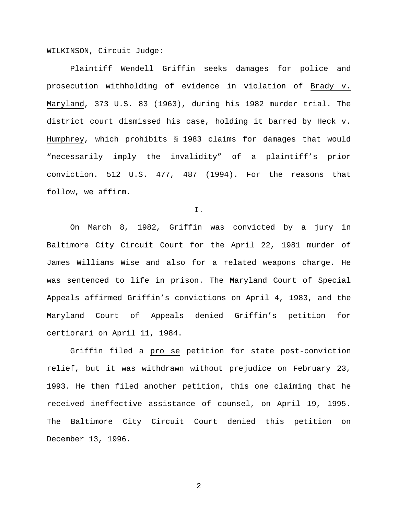WILKINSON, Circuit Judge:

Plaintiff Wendell Griffin seeks damages for police and prosecution withholding of evidence in violation of Brady v. Maryland, 373 U.S. 83 (1963), during his 1982 murder trial. The district court dismissed his case, holding it barred by Heck v. Humphrey, which prohibits § 1983 claims for damages that would "necessarily imply the invalidity" of a plaintiff's prior conviction. 512 U.S. 477, 487 (1994). For the reasons that follow, we affirm.

I.

On March 8, 1982, Griffin was convicted by a jury in Baltimore City Circuit Court for the April 22, 1981 murder of James Williams Wise and also for a related weapons charge. He was sentenced to life in prison. The Maryland Court of Special Appeals affirmed Griffin's convictions on April 4, 1983, and the Maryland Court of Appeals denied Griffin's petition for certiorari on April 11, 1984.

Griffin filed a pro se petition for state post-conviction relief, but it was withdrawn without prejudice on February 23, 1993. He then filed another petition, this one claiming that he received ineffective assistance of counsel, on April 19, 1995. The Baltimore City Circuit Court denied this petition on December 13, 1996.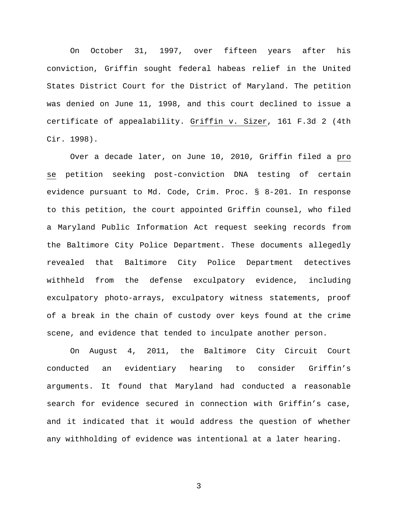On October 31, 1997, over fifteen years after his conviction, Griffin sought federal habeas relief in the United States District Court for the District of Maryland. The petition was denied on June 11, 1998, and this court declined to issue a certificate of appealability. Griffin v. Sizer, 161 F.3d 2 (4th Cir. 1998).

Over a decade later, on June 10, 2010, Griffin filed a pro se petition seeking post-conviction DNA testing of certain evidence pursuant to Md. Code, Crim. Proc. § 8-201*.* In response to this petition, the court appointed Griffin counsel, who filed a Maryland Public Information Act request seeking records from the Baltimore City Police Department. These documents allegedly revealed that Baltimore City Police Department detectives withheld from the defense exculpatory evidence, including exculpatory photo-arrays, exculpatory witness statements, proof of a break in the chain of custody over keys found at the crime scene, and evidence that tended to inculpate another person.

On August 4, 2011, the Baltimore City Circuit Court conducted an evidentiary hearing to consider Griffin's arguments. It found that Maryland had conducted a reasonable search for evidence secured in connection with Griffin's case, and it indicated that it would address the question of whether any withholding of evidence was intentional at a later hearing.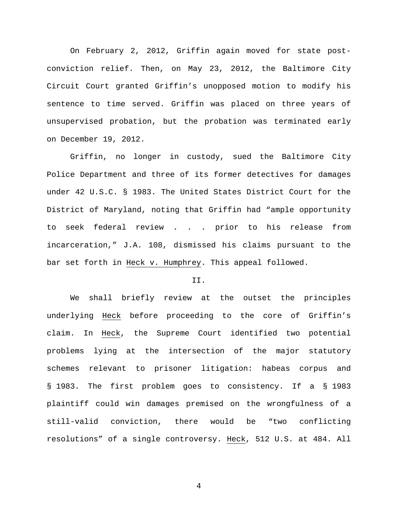On February 2, 2012, Griffin again moved for state postconviction relief. Then, on May 23, 2012, the Baltimore City Circuit Court granted Griffin's unopposed motion to modify his sentence to time served. Griffin was placed on three years of unsupervised probation, but the probation was terminated early on December 19, 2012.

Griffin, no longer in custody, sued the Baltimore City Police Department and three of its former detectives for damages under 42 U.S.C. § 1983. The United States District Court for the District of Maryland, noting that Griffin had "ample opportunity to seek federal review . . . prior to his release from incarceration," J.A. 108, dismissed his claims pursuant to the bar set forth in Heck v. Humphrey. This appeal followed.

## II.

We shall briefly review at the outset the principles underlying Heck before proceeding to the core of Griffin's claim. In Heck, the Supreme Court identified two potential problems lying at the intersection of the major statutory schemes relevant to prisoner litigation: habeas corpus and § 1983. The first problem goes to consistency. If a § 1983 plaintiff could win damages premised on the wrongfulness of a still-valid conviction, there would be "two conflicting resolutions" of a single controversy. Heck, 512 U.S. at 484. All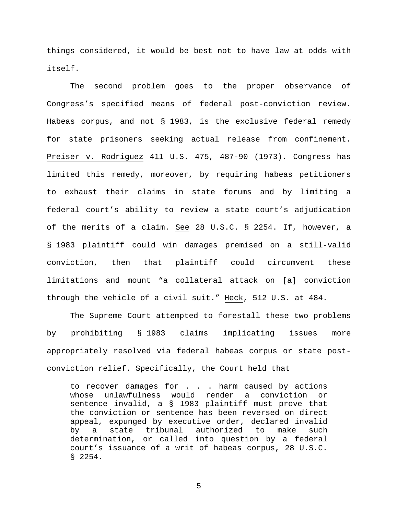things considered, it would be best not to have law at odds with itself.

The second problem goes to the proper observance of Congress's specified means of federal post-conviction review. Habeas corpus, and not § 1983, is the exclusive federal remedy for state prisoners seeking actual release from confinement. Preiser v. Rodriguez 411 U.S. 475, 487-90 (1973). Congress has limited this remedy, moreover, by requiring habeas petitioners to exhaust their claims in state forums and by limiting a federal court's ability to review a state court's adjudication of the merits of a claim. See 28 U.S.C. § 2254. If, however, a § 1983 plaintiff could win damages premised on a still-valid conviction, then that plaintiff could circumvent these limitations and mount "a collateral attack on [a] conviction through the vehicle of a civil suit." Heck, 512 U.S. at 484.

The Supreme Court attempted to forestall these two problems by prohibiting § 1983 claims implicating issues more appropriately resolved via federal habeas corpus or state postconviction relief. Specifically, the Court held that

to recover damages for . . . harm caused by actions whose unlawfulness would render a conviction or sentence invalid, a § 1983 plaintiff must prove that the conviction or sentence has been reversed on direct appeal, expunged by executive order, declared invalid by a state tribunal authorized to make such determination, or called into question by a federal court's issuance of a writ of habeas corpus, 28 U.S.C. § 2254.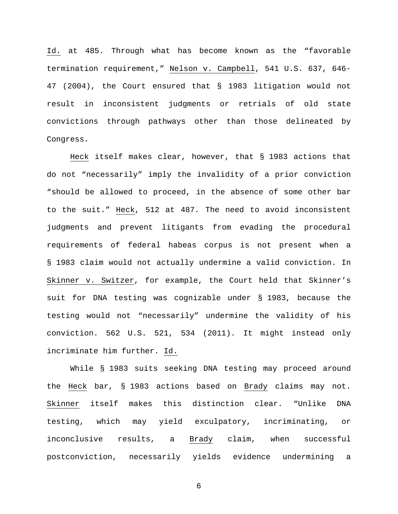Id. at 485. Through what has become known as the "favorable termination requirement," Nelson v. Campbell, 541 U.S. 637, 646- 47 (2004), the Court ensured that § 1983 litigation would not result in inconsistent judgments or retrials of old state convictions through pathways other than those delineated by Congress.

Heck itself makes clear, however, that § 1983 actions that do not "necessarily" imply the invalidity of a prior conviction "should be allowed to proceed, in the absence of some other bar to the suit." Heck, 512 at 487. The need to avoid inconsistent judgments and prevent litigants from evading the procedural requirements of federal habeas corpus is not present when a § 1983 claim would not actually undermine a valid conviction. In Skinner v. Switzer, for example, the Court held that Skinner's suit for DNA testing was cognizable under § 1983, because the testing would not "necessarily" undermine the validity of his conviction. 562 U.S. 521, 534 (2011). It might instead only incriminate him further. Id.

While § 1983 suits seeking DNA testing may proceed around the Heck bar, § 1983 actions based on Brady claims may not. Skinner itself makes this distinction clear. "Unlike DNA testing, which may yield exculpatory, incriminating, or inconclusive results, a Brady claim, when successful postconviction, necessarily yields evidence undermining a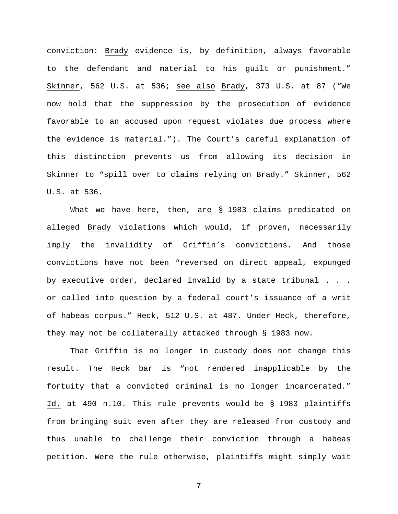conviction: Brady evidence is, by definition, always favorable to the defendant and material to his guilt or punishment." Skinner, 562 U.S. at 536; see also Brady, 373 U.S. at 87 ("We now hold that the suppression by the prosecution of evidence favorable to an accused upon request violates due process where the evidence is material."). The Court's careful explanation of this distinction prevents us from allowing its decision in Skinner to "spill over to claims relying on Brady." Skinner, 562 U.S. at 536.

What we have here, then, are § 1983 claims predicated on alleged Brady violations which would, if proven, necessarily imply the invalidity of Griffin's convictions. And those convictions have not been "reversed on direct appeal, expunged by executive order, declared invalid by a state tribunal . . . or called into question by a federal court's issuance of a writ of habeas corpus." Heck, 512 U.S. at 487. Under Heck, therefore, they may not be collaterally attacked through § 1983 now.

That Griffin is no longer in custody does not change this result. The Heck bar is "not rendered inapplicable by the fortuity that a convicted criminal is no longer incarcerated." Id. at 490 n.10. This rule prevents would-be § 1983 plaintiffs from bringing suit even after they are released from custody and thus unable to challenge their conviction through a habeas petition. Were the rule otherwise, plaintiffs might simply wait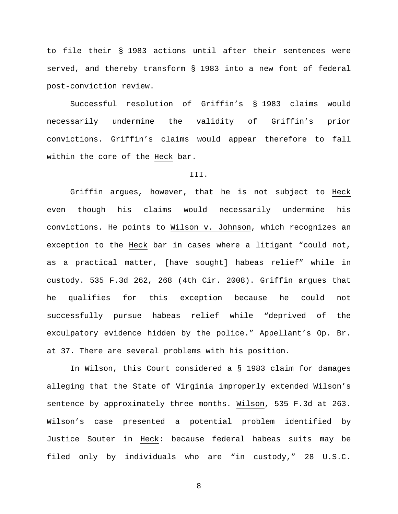to file their § 1983 actions until after their sentences were served, and thereby transform § 1983 into a new font of federal post-conviction review.

Successful resolution of Griffin's § 1983 claims would necessarily undermine the validity of Griffin's prior convictions. Griffin's claims would appear therefore to fall within the core of the Heck bar.

## III.

Griffin argues, however, that he is not subject to Heck even though his claims would necessarily undermine his convictions. He points to Wilson v. Johnson, which recognizes an exception to the Heck bar in cases where a litigant "could not, as a practical matter, [have sought] habeas relief" while in custody. 535 F.3d 262, 268 (4th Cir. 2008). Griffin argues that he qualifies for this exception because he could not successfully pursue habeas relief while "deprived of the exculpatory evidence hidden by the police." Appellant's Op. Br. at 37. There are several problems with his position.

In Wilson, this Court considered a § 1983 claim for damages alleging that the State of Virginia improperly extended Wilson's sentence by approximately three months. Wilson, 535 F.3d at 263. Wilson's case presented a potential problem identified by Justice Souter in Heck: because federal habeas suits may be filed only by individuals who are "in custody," 28 U.S.C.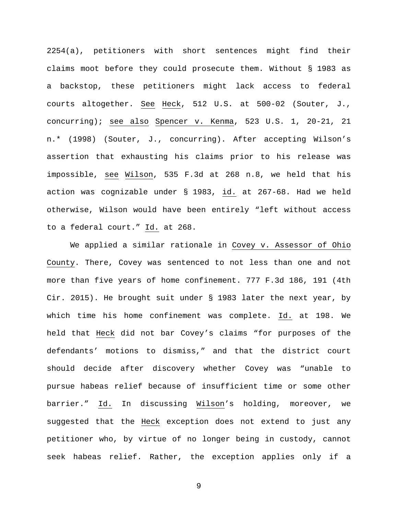2254(a), petitioners with short sentences might find their claims moot before they could prosecute them. Without § 1983 as a backstop, these petitioners might lack access to federal courts altogether. See Heck, 512 U.S. at 500-02 (Souter, J., concurring); see also Spencer v. Kenma, 523 U.S. 1, 20-21, 21 n.\* (1998) (Souter, J., concurring). After accepting Wilson's assertion that exhausting his claims prior to his release was impossible, see Wilson, 535 F.3d at 268 n.8, we held that his action was cognizable under § 1983, id. at 267-68. Had we held otherwise, Wilson would have been entirely "left without access to a federal court." Id. at 268.

We applied a similar rationale in Covey v. Assessor of Ohio County. There, Covey was sentenced to not less than one and not more than five years of home confinement. 777 F.3d 186, 191 (4th Cir. 2015). He brought suit under § 1983 later the next year, by which time his home confinement was complete. Id. at 198. We held that Heck did not bar Covey's claims "for purposes of the defendants' motions to dismiss," and that the district court should decide after discovery whether Covey was "unable to pursue habeas relief because of insufficient time or some other barrier." Id. In discussing Wilson's holding, moreover, we suggested that the Heck exception does not extend to just any petitioner who, by virtue of no longer being in custody, cannot seek habeas relief. Rather, the exception applies only if a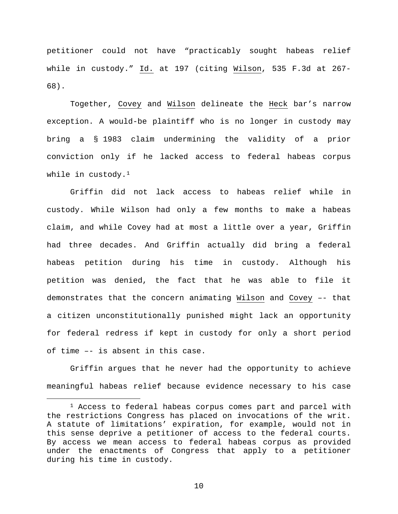petitioner could not have "practicably sought habeas relief while in custody." Id. at 197 (citing Wilson, 535 F.3d at 267-68).

Together, Covey and Wilson delineate the Heck bar's narrow exception. A would-be plaintiff who is no longer in custody may bring a § 1983 claim undermining the validity of a prior conviction only if he lacked access to federal habeas corpus while in custody. $1$ 

Griffin did not lack access to habeas relief while in custody. While Wilson had only a few months to make a habeas claim, and while Covey had at most a little over a year, Griffin had three decades. And Griffin actually did bring a federal habeas petition during his time in custody. Although his petition was denied, the fact that he was able to file it demonstrates that the concern animating Wilson and Covey –- that a citizen unconstitutionally punished might lack an opportunity for federal redress if kept in custody for only a short period of time –- is absent in this case.

Griffin argues that he never had the opportunity to achieve meaningful habeas relief because evidence necessary to his case

<span id="page-9-0"></span><sup>&</sup>lt;sup>1</sup> Access to federal habeas corpus comes part and parcel with the restrictions Congress has placed on invocations of the writ. A statute of limitations' expiration, for example, would not in this sense deprive a petitioner of access to the federal courts. By access we mean access to federal habeas corpus as provided under the enactments of Congress that apply to a petitioner during his time in custody.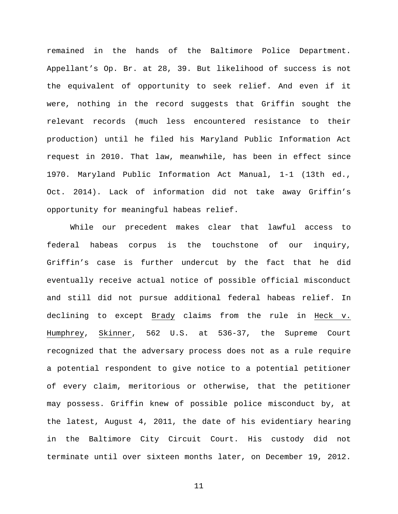remained in the hands of the Baltimore Police Department. Appellant's Op. Br. at 28, 39. But likelihood of success is not the equivalent of opportunity to seek relief. And even if it were, nothing in the record suggests that Griffin sought the relevant records (much less encountered resistance to their production) until he filed his Maryland Public Information Act request in 2010. That law, meanwhile, has been in effect since 1970. Maryland Public Information Act Manual, 1-1 (13th ed., Oct. 2014). Lack of information did not take away Griffin's opportunity for meaningful habeas relief.

While our precedent makes clear that lawful access to federal habeas corpus is the touchstone of our inquiry, Griffin's case is further undercut by the fact that he did eventually receive actual notice of possible official misconduct and still did not pursue additional federal habeas relief. In declining to except Brady claims from the rule in Heck v. Humphrey, Skinner, 562 U.S. at 536-37, the Supreme Court recognized that the adversary process does not as a rule require a potential respondent to give notice to a potential petitioner of every claim, meritorious or otherwise, that the petitioner may possess. Griffin knew of possible police misconduct by, at the latest, August 4, 2011, the date of his evidentiary hearing in the Baltimore City Circuit Court. His custody did not terminate until over sixteen months later, on December 19, 2012.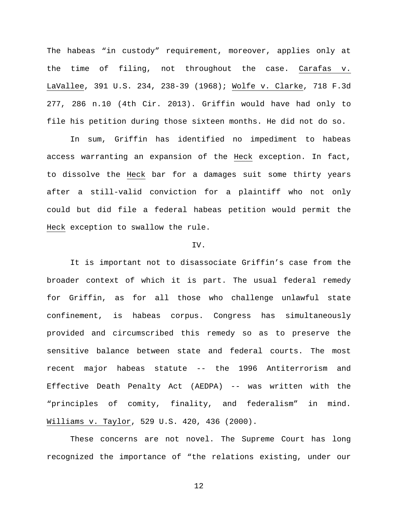The habeas "in custody" requirement, moreover, applies only at the time of filing, not throughout the case. Carafas v. LaVallee, 391 U.S. 234, 238-39 (1968); Wolfe v. Clarke, 718 F.3d 277, 286 n.10 (4th Cir. 2013). Griffin would have had only to file his petition during those sixteen months. He did not do so.

In sum, Griffin has identified no impediment to habeas access warranting an expansion of the Heck exception. In fact, to dissolve the Heck bar for a damages suit some thirty years after a still-valid conviction for a plaintiff who not only could but did file a federal habeas petition would permit the Heck exception to swallow the rule.

### IV.

It is important not to disassociate Griffin's case from the broader context of which it is part. The usual federal remedy for Griffin, as for all those who challenge unlawful state confinement, is habeas corpus. Congress has simultaneously provided and circumscribed this remedy so as to preserve the sensitive balance between state and federal courts. The most recent major habeas statute -- the 1996 Antiterrorism and Effective Death Penalty Act (AEDPA) -- was written with the "principles of comity, finality, and federalism" in mind. Williams v. Taylor, 529 U.S. 420, 436 (2000).

These concerns are not novel. The Supreme Court has long recognized the importance of "the relations existing, under our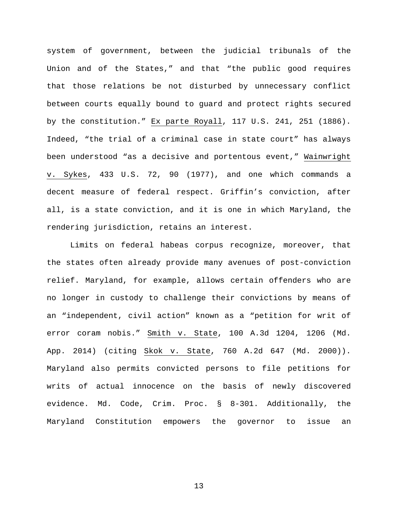system of government, between the judicial tribunals of the Union and of the States," and that "the public good requires that those relations be not disturbed by unnecessary conflict between courts equally bound to guard and protect rights secured by the constitution." Ex parte Royall, 117 U.S. 241, 251 (1886). Indeed, "the trial of a criminal case in state court" has always been understood "as a decisive and portentous event," Wainwright v. Sykes, 433 U.S. 72, 90 (1977), and one which commands a decent measure of federal respect. Griffin's conviction, after all, is a state conviction, and it is one in which Maryland, the rendering jurisdiction, retains an interest.

Limits on federal habeas corpus recognize, moreover, that the states often already provide many avenues of post-conviction relief. Maryland, for example, allows certain offenders who are no longer in custody to challenge their convictions by means of an "independent, civil action" known as a "petition for writ of error coram nobis." Smith v. State, 100 A.3d 1204, 1206 (Md. App. 2014) (citing Skok v. State, 760 A.2d 647 (Md. 2000)). Maryland also permits convicted persons to file petitions for writs of actual innocence on the basis of newly discovered evidence. Md. Code, Crim. Proc. § 8-301. Additionally, the Maryland Constitution empowers the governor to issue an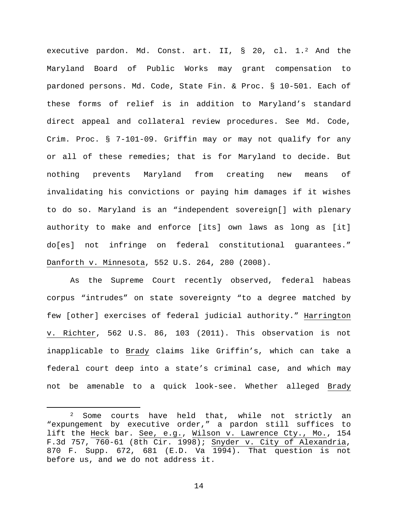executive pardon. Md. Const. art. II, § 20, cl. 1.[2](#page-13-0) And the Maryland Board of Public Works may grant compensation to pardoned persons. Md. Code, State Fin. & Proc. § 10-501. Each of these forms of relief is in addition to Maryland's standard direct appeal and collateral review procedures. See Md. Code, Crim. Proc. § 7-101-09. Griffin may or may not qualify for any or all of these remedies; that is for Maryland to decide. But nothing prevents Maryland from creating new means of invalidating his convictions or paying him damages if it wishes to do so. Maryland is an "independent sovereign[] with plenary authority to make and enforce [its] own laws as long as [it] do[es] not infringe on federal constitutional guarantees." Danforth v. Minnesota, 552 U.S. 264, 280 (2008).

As the Supreme Court recently observed, federal habeas corpus "intrudes" on state sovereignty "to a degree matched by few [other] exercises of federal judicial authority." Harrington v. Richter, 562 U.S. 86, 103 (2011). This observation is not inapplicable to Brady claims like Griffin's, which can take a federal court deep into a state's criminal case, and which may not be amenable to a quick look-see. Whether alleged Brady

<span id="page-13-0"></span> <sup>2</sup> Some courts have held that, while not strictly an "expungement by executive order," a pardon still suffices to lift the Heck bar. See, e.g., Wilson v. Lawrence Cty., Mo., 154 F.3d 757, 760-61 (8th Cir. 1998); Snyder v. City of Alexandria, 870 F. Supp. 672, 681 (E.D. Va 1994). That question is not before us, and we do not address it.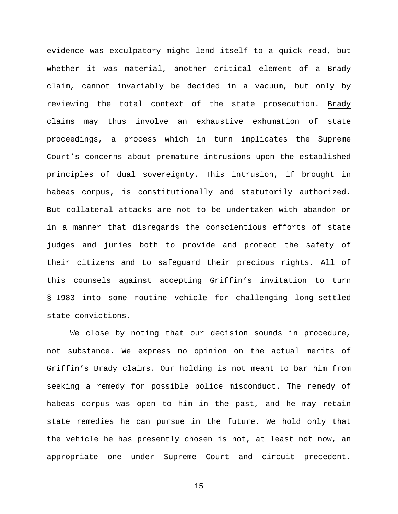evidence was exculpatory might lend itself to a quick read, but whether it was material, another critical element of a Brady claim, cannot invariably be decided in a vacuum, but only by reviewing the total context of the state prosecution. Brady claims may thus involve an exhaustive exhumation of state proceedings, a process which in turn implicates the Supreme Court's concerns about premature intrusions upon the established principles of dual sovereignty. This intrusion, if brought in habeas corpus, is constitutionally and statutorily authorized. But collateral attacks are not to be undertaken with abandon or in a manner that disregards the conscientious efforts of state judges and juries both to provide and protect the safety of their citizens and to safeguard their precious rights. All of this counsels against accepting Griffin's invitation to turn § 1983 into some routine vehicle for challenging long-settled state convictions.

We close by noting that our decision sounds in procedure, not substance. We express no opinion on the actual merits of Griffin's Brady claims. Our holding is not meant to bar him from seeking a remedy for possible police misconduct. The remedy of habeas corpus was open to him in the past, and he may retain state remedies he can pursue in the future. We hold only that the vehicle he has presently chosen is not, at least not now, an appropriate one under Supreme Court and circuit precedent.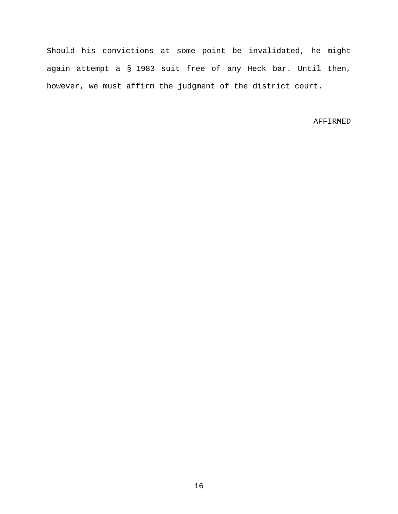Should his convictions at some point be invalidated, he might again attempt a § 1983 suit free of any Heck bar. Until then, however, we must affirm the judgment of the district court.

# AFFIRMED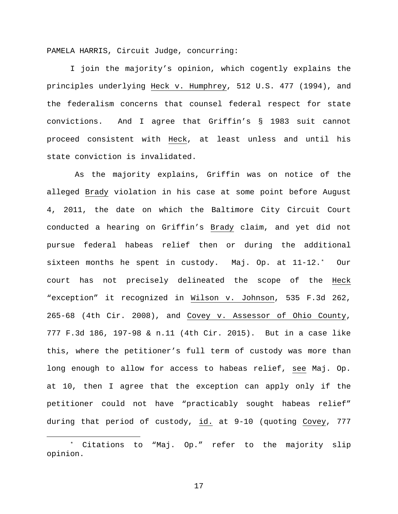PAMELA HARRIS, Circuit Judge, concurring:

I join the majority's opinion, which cogently explains the principles underlying Heck v. Humphrey, 512 U.S. 477 (1994), and the federalism concerns that counsel federal respect for state convictions. And I agree that Griffin's § 1983 suit cannot proceed consistent with Heck, at least unless and until his state conviction is invalidated.

As the majority explains, Griffin was on notice of the alleged Brady violation in his case at some point before August 4, 2011, the date on which the Baltimore City Circuit Court conducted a hearing on Griffin's Brady claim, and yet did not pursue federal habeas relief then or during the additional sixteen months he spent in custody. Maj. Op. at 11-12.[\\*](#page-16-0) Our court has not precisely delineated the scope of the Heck "exception" it recognized in Wilson v. Johnson, 535 F.3d 262, 265-68 (4th Cir. 2008), and Covey v. Assessor of Ohio County, 777 F.3d 186, 197-98 & n.11 (4th Cir. 2015). But in a case like this, where the petitioner's full term of custody was more than long enough to allow for access to habeas relief, see Maj. Op. at 10, then I agree that the exception can apply only if the petitioner could not have "practicably sought habeas relief" during that period of custody, id. at 9-10 (quoting Covey, 777

<span id="page-16-0"></span> <sup>\*</sup> Citations to "Maj. Op." refer to the majority slip opinion.